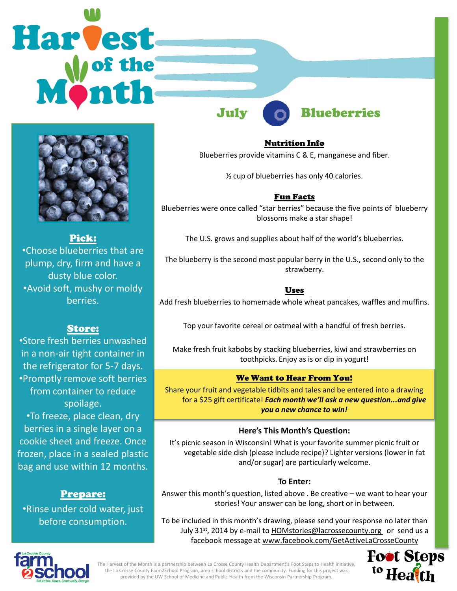# **Harvest**



Pick: •Choose blueberries that are plump, dry, firm and have a dusty blue color. •Avoid soft, mushy or moldy berries.

# Store:

•Store fresh berries unwashed in a non-air tight container in the refrigerator for 5-7 days. •Promptly remove soft berries from container to reduce spoilage.

•To freeze, place clean, dry berries in a single layer on a cookie sheet and freeze. Once frozen, place in a sealed plastic bag and use within 12 months.

# Prepare:

•Rinse under cold water, just before consumption.

July Blueberries

Nutrition Info Blueberries provide vitamins C & E, manganese and fiber.

½ cup of blueberries has only 40 calories.

# Fun Facts

Blueberries were once called "star berries" because the five points of blueberry blossoms make a star shape!

The U.S. grows and supplies about half of the world's blueberries.

The blueberry is the second most popular berry in the U.S., second only to the strawberry.

# Uses

Add fresh blueberries to homemade whole wheat pancakes, waffles and muffins.

Top your favorite cereal or oatmeal with a handful of fresh berries.

Make fresh fruit kabobs by stacking blueberries, kiwi and strawberries on toothpicks. Enjoy as is or dip in yogurt!

# We Want to Hear From You!

Share your fruit and vegetable tidbits and tales and be entered into a drawing for a \$25 gift certificate! *Each month we'll ask a new question...and give you a new chance to win!* 

# **Here's This Month's Question:**

It's picnic season in Wisconsin! What is your favorite summer picnic fruit or vegetable side dish (please include recipe)? Lighter versions (lower in fat and/or sugar) are particularly welcome.

### **To Enter:**

Answer this month's question, listed above . Be creative – we want to hear your stories! Your answer can be long, short or in between.

To be included in this month's drawing, please send your response no later than July 31<sup>st</sup>, 2014 by e-mail to **HOMstories@lacrossecounty.org** or send us a facebook message at www.facebook.com/GetActiveLaCrosseCounty



The Harvest of the Month is a partnership between La Crosse County Health Department's Foot Steps to Health initiative, the La Crosse County Farm2School Program, area school districts and the community. Funding for this project was provided by the UW School of Medicine and Public Health from the Wisconsin Partnership Program.